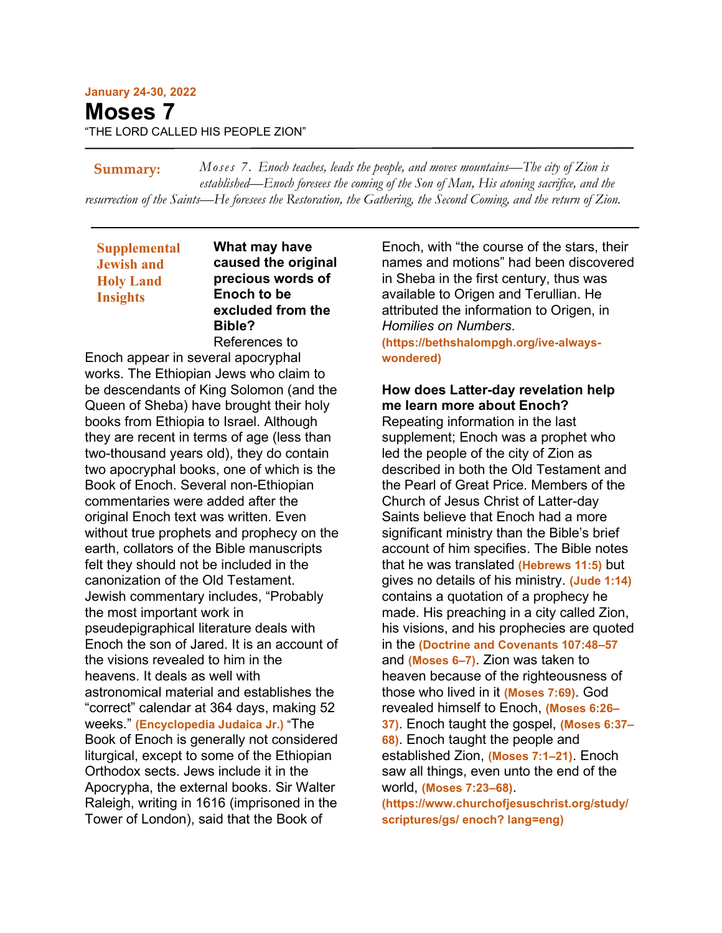# **January 24-30, 2022 Moses 7** "THE LORD CALLED HIS PEOPLE ZION"

*Moses 7. Enoch teaches, leads the people, and moves mountains—The city of Zion is established—Enoch foresees the coming of the Son of Man, His atoning sacrifice, and the resurrection of the Saints—He foresees the Restoration, the Gathering, the Second Coming, and the return of Zion.* **Summary:**

## **Supplemental Jewish and Holy Land Insights**

### **What may have caused the original precious words of Enoch to be excluded from the Bible?** References to

Enoch appear in several apocryphal works. The Ethiopian Jews who claim to be descendants of King Solomon (and the Queen of Sheba) have brought their holy books from Ethiopia to Israel. Although they are recent in terms of age (less than two-thousand years old), they do contain two apocryphal books, one of which is the Book of Enoch. Several non-Ethiopian commentaries were added after the original Enoch text was written. Even without true prophets and prophecy on the earth, collators of the Bible manuscripts felt they should not be included in the canonization of the Old Testament. Jewish commentary includes, "Probably the most important work in pseudepigraphical literature deals with Enoch the son of Jared. It is an account of the visions revealed to him in the heavens. It deals as well with astronomical material and establishes the "correct" calendar at 364 days, making 52 weeks." **(Encyclopedia Judaica Jr.)** "The Book of Enoch is generally not considered liturgical, except to some of the Ethiopian Orthodox sects. Jews include it in the Apocrypha, the external books. Sir Walter Raleigh, writing in 1616 (imprisoned in the Tower of London), said that the Book of

Enoch, with "the course of the stars, their names and motions" had been discovered in Sheba in the first century, thus was available to Origen and Terullian. He attributed the information to Origen, in *Homilies on Numbers*.

**(https://bethshalompgh.org/ive-alwayswondered)**

# **How does Latter-day revelation help me learn more about Enoch?**

Repeating information in the last supplement; Enoch was a prophet who led the people of the city of Zion as described in both the Old Testament and the Pearl of Great Price. Members of the Church of Jesus Christ of Latter-day Saints believe that Enoch had a more significant ministry than the Bible's brief account of him specifies. The Bible notes that he was translated **(Hebrews 11:5)** but gives no details of his ministry. **(Jude 1:14)** contains a quotation of a prophecy he made. His preaching in a city called Zion, his visions, and his prophecies are quoted in the **(Doctrine and Covenants 107:48–57** and **(Moses 6–7)**. Zion was taken to heaven because of the righteousness of those who lived in it **(Moses 7:69)**. God revealed himself to Enoch, **(Moses 6:26– 37)**. Enoch taught the gospel, **(Moses 6:37– 68)**. Enoch taught the people and established Zion, **(Moses 7:1–21)**. Enoch saw all things, even unto the end of the world, **(Moses 7:23–68)**. **(https://www.churchofjesuschrist.org/study/ scriptures/gs/ enoch? lang=eng)**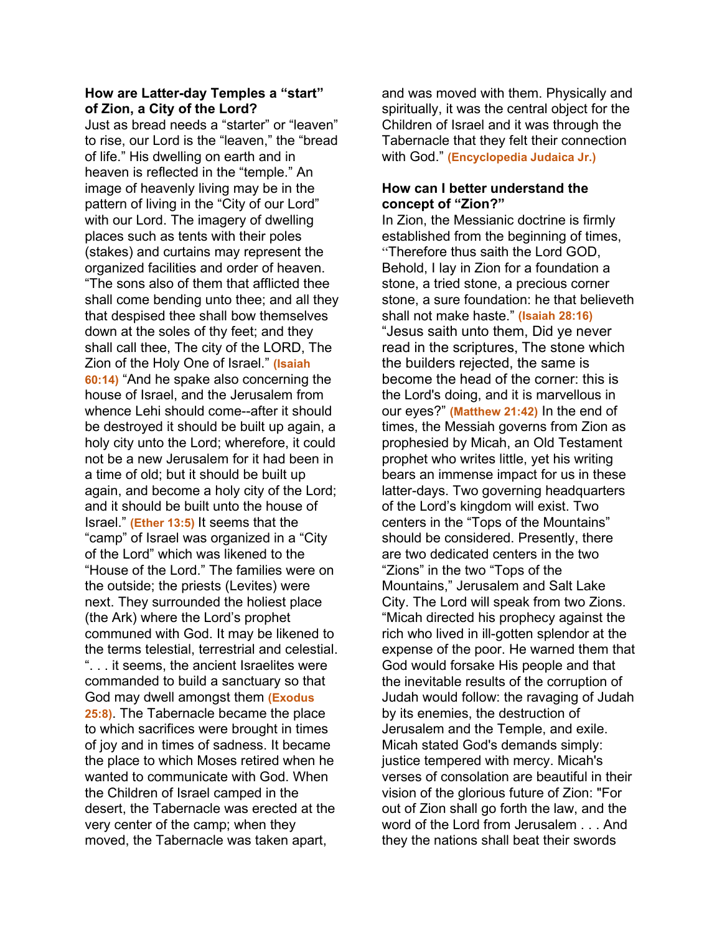#### **How are Latter-day Temples a "start" of Zion, a City of the Lord?**

Just as bread needs a "starter" or "leaven" to rise, our Lord is the "leaven," the "bread of life." His dwelling on earth and in heaven is reflected in the "temple." An image of heavenly living may be in the pattern of living in the "City of our Lord" with our Lord. The imagery of dwelling places such as tents with their poles (stakes) and curtains may represent the organized facilities and order of heaven. "The sons also of them that afflicted thee shall come bending unto thee; and all they that despised thee shall bow themselves down at the soles of thy feet; and they shall call thee, The city of the LORD, The Zion of the Holy One of Israel." **(Isaiah 60:14)** "And he spake also concerning the house of Israel, and the Jerusalem from whence Lehi should come--after it should be destroyed it should be built up again, a holy city unto the Lord; wherefore, it could not be a new Jerusalem for it had been in a time of old; but it should be built up again, and become a holy city of the Lord; and it should be built unto the house of Israel." **(Ether 13:5)** It seems that the "camp" of Israel was organized in a "City of the Lord" which was likened to the "House of the Lord." The families were on the outside; the priests (Levites) were next. They surrounded the holiest place (the Ark) where the Lord's prophet communed with God. It may be likened to the terms telestial, terrestrial and celestial. ". . . it seems, the ancient Israelites were commanded to build a sanctuary so that God may dwell amongst them **(Exodus 25:8)**. The Tabernacle became the place to which sacrifices were brought in times of joy and in times of sadness. It became the place to which Moses retired when he wanted to communicate with God. When the Children of Israel camped in the desert, the Tabernacle was erected at the very center of the camp; when they moved, the Tabernacle was taken apart,

and was moved with them. Physically and spiritually, it was the central object for the Children of Israel and it was through the Tabernacle that they felt their connection with God." **(Encyclopedia Judaica Jr.)**

### **How can I better understand the concept of "Zion?"**

In Zion, the Messianic doctrine is firmly established from the beginning of times, "Therefore thus saith the Lord GOD, Behold, I lay in Zion for a foundation a stone, a tried stone, a precious corner stone, a sure foundation: he that believeth shall not make haste." **(Isaiah 28:16)** "Jesus saith unto them, Did ye never read in the scriptures, The stone which the builders rejected, the same is become the head of the corner: this is the Lord's doing, and it is marvellous in our eyes?" **(Matthew 21:42)** In the end of times, the Messiah governs from Zion as prophesied by Micah, an Old Testament prophet who writes little, yet his writing bears an immense impact for us in these latter-days. Two governing headquarters of the Lord's kingdom will exist. Two centers in the "Tops of the Mountains" should be considered. Presently, there are two dedicated centers in the two "Zions" in the two "Tops of the Mountains," Jerusalem and Salt Lake City. The Lord will speak from two Zions. "Micah directed his prophecy against the rich who lived in ill-gotten splendor at the expense of the poor. He warned them that God would forsake His people and that the inevitable results of the corruption of Judah would follow: the ravaging of Judah by its enemies, the destruction of Jerusalem and the Temple, and exile. Micah stated God's demands simply: justice tempered with mercy. Micah's verses of consolation are beautiful in their vision of the glorious future of Zion: "For out of Zion shall go forth the law, and the word of the Lord from Jerusalem . . . And they the nations shall beat their swords